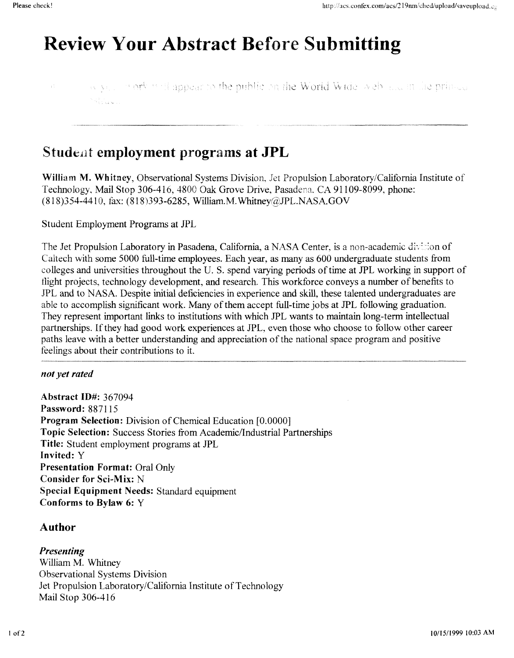# **Review Your Abstract Before Submitting**

we very mork will appear to the public on the World Wide, web also an the prince 13 Samuel

# **Student employment programs at JPL**

**William M. Whitney,** Observational Systems Division, *Jet* Propulsion Laboratory/California Institute of Technology, Mail Stop 306-416, 4800 Oak Grove Drive, Pasadena, CA 91109-8099, phone: (818)354-4410, fax: (818)393-6285, William.M. Whitney@JPL.NASA.GOV

Student Employment Programs at *JPL* 

The Jet Propulsion Laboratory in Pasadena, California, a NASA Center, is a non-academic division of Caltech with some 5000 hll-time employees. Each year, as many as 600 undergraduate students from colleges and universities throughout the U. S. spend varying periods of time at JPL working in support of tlight projects, technology development, and research. This workforce conveys a number of benefits to JPL and to **NASA.** Despite initial deficiencies in experience and **skill,** these talented undergraduates are able to accomplish signtficant work. Many of them accept full-time jobs at JPL following graduation. They represent important links to institutions with which JPL wants to maintain long-term intellectual partnerships. If they had good work experiences at JPL, even those who choose to follow other career paths leave with a better understanding and appreciation of the national space program and positive feelings about their contributions to it.

#### *not yet rated*

**Abstract ID#:** 367094 **Password:** 887 1 15 **Program Selection:** Division of Chemical Education [O.OOOO] **Topic Selection:** Success Stories from Academic/Industrial Partnerships **Title:** Student employment programs at *JPL*  **Invited:** Y **Presentation Format:** Oral Only **Consider for Sci-Mix:** N **Special Equipment Needs:** Standard equipment **Conforms to Bylaw 6:** Y

### **Author**

#### *Presenting*

William M. Whitney Observational Systems Division Jet Propulsion Laboratory/California Institute of Technology Mail Stop 306-4 16